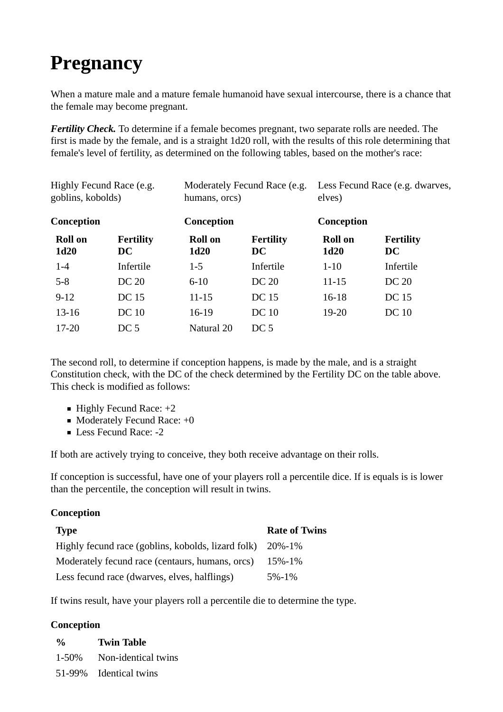# **Pregnancy**

When a mature male and a mature female humanoid have sexual intercourse, there is a chance that the female may become pregnant.

*Fertility Check.* To determine if a female becomes pregnant, two separate rolls are needed. The first is made by the female, and is a straight 1d20 roll, with the results of this role determining that female's level of fertility, as determined on the following tables, based on the mother's race:

| Highly Fecund Race (e.g.<br>goblins, kobolds)<br>Conception |                  | Moderately Fecund Race (e.g.<br>humans, orcs)<br>Conception |                 | Less Fecund Race (e.g. dwarves,<br>elves)<br>Conception |              |
|-------------------------------------------------------------|------------------|-------------------------------------------------------------|-----------------|---------------------------------------------------------|--------------|
|                                                             |                  |                                                             |                 |                                                         |              |
| $1-4$                                                       | Infertile        | $1-5$                                                       | Infertile       | $1 - 10$                                                | Infertile    |
| $5 - 8$                                                     | DC 20            | $6 - 10$                                                    | DC 20           | $11 - 15$                                               | DC 20        |
| $9-12$                                                      | DC 15            | $11 - 15$                                                   | <b>DC</b> 15    | $16-18$                                                 | DC 15        |
| $13-16$                                                     | DC <sub>10</sub> | $16-19$                                                     | <b>DC</b> 10    | $19-20$                                                 | <b>DC</b> 10 |
| $17 - 20$                                                   | DC <sub>5</sub>  | Natural 20                                                  | DC <sub>5</sub> |                                                         |              |

The second roll, to determine if conception happens, is made by the male, and is a straight Constitution check, with the DC of the check determined by the Fertility DC on the table above. This check is modified as follows:

- $\blacksquare$  Highly Fecund Race:  $+2$
- $\blacksquare$  Moderately Fecund Race:  $+0$
- Less Fecund Race:  $-2$

If both are actively trying to conceive, they both receive advantage on their rolls.

If conception is successful, have one of your players roll a percentile dice. If is equals is is lower than the percentile, the conception will result in twins.

## **Conception**

| <b>Type</b>                                               | <b>Rate of Twins</b> |
|-----------------------------------------------------------|----------------------|
| Highly fecund race (goblins, kobolds, lizard folk) 20%-1% |                      |
| Moderately fecund race (centaurs, humans, orcs)           | 15%-1%               |
| Less fecund race (dwarves, elves, halflings)              | $5\% - 1\%$          |

If twins result, have your players roll a percentile die to determine the type.

### **Conception**

- **% Twin Table** 1-50% Non-identical twins
- 51-99% Identical twins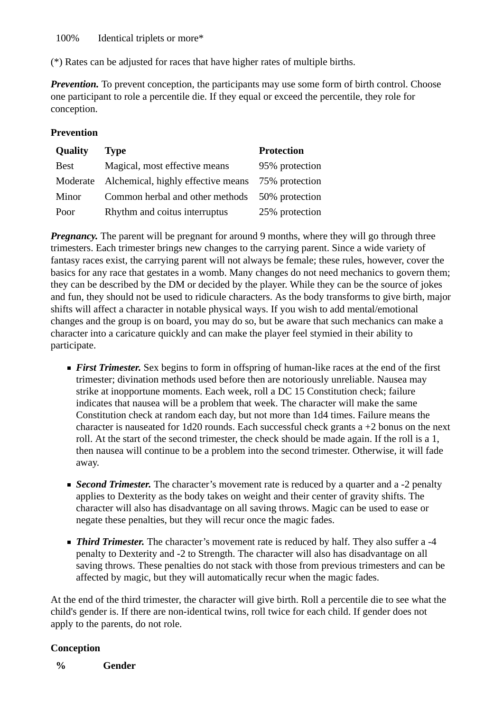100% Identical triplets or more\*

(\*) Rates can be adjusted for races that have higher rates of multiple births.

*Prevention.* To prevent conception, the participants may use some form of birth control. Choose one participant to role a percentile die. If they equal or exceed the percentile, they role for conception.

### **Prevention**

| Quality     | <b>Type</b>                        | <b>Protection</b> |
|-------------|------------------------------------|-------------------|
| <b>Best</b> | Magical, most effective means      | 95% protection    |
| Moderate    | Alchemical, highly effective means | 75% protection    |
| Minor       | Common herbal and other methods    | 50% protection    |
| Poor        | Rhythm and coitus interruptus      | 25% protection    |

*Pregnancy.* The parent will be pregnant for around 9 months, where they will go through three trimesters. Each trimester brings new changes to the carrying parent. Since a wide variety of fantasy races exist, the carrying parent will not always be female; these rules, however, cover the basics for any race that gestates in a womb. Many changes do not need mechanics to govern them; they can be described by the DM or decided by the player. While they can be the source of jokes and fun, they should not be used to ridicule characters. As the body transforms to give birth, major shifts will affect a character in notable physical ways. If you wish to add mental/emotional changes and the group is on board, you may do so, but be aware that such mechanics can make a character into a caricature quickly and can make the player feel stymied in their ability to participate.

- **First Trimester.** Sex begins to form in offspring of human-like races at the end of the first trimester; divination methods used before then are notoriously unreliable. Nausea may strike at inopportune moments. Each week, roll a DC 15 Constitution check; failure indicates that nausea will be a problem that week. The character will make the same Constitution check at random each day, but not more than 1d4 times. Failure means the character is nauseated for 1d20 rounds. Each successful check grants a +2 bonus on the next roll. At the start of the second trimester, the check should be made again. If the roll is a 1, then nausea will continue to be a problem into the second trimester. Otherwise, it will fade away.
- **Second Trimester.** The character's movement rate is reduced by a quarter and a -2 penalty applies to Dexterity as the body takes on weight and their center of gravity shifts. The character will also has disadvantage on all saving throws. Magic can be used to ease or negate these penalties, but they will recur once the magic fades.
- **Third Trimester.** The character's movement rate is reduced by half. They also suffer a -4 penalty to Dexterity and -2 to Strength. The character will also has disadvantage on all saving throws. These penalties do not stack with those from previous trimesters and can be affected by magic, but they will automatically recur when the magic fades.

At the end of the third trimester, the character will give birth. Roll a percentile die to see what the child's gender is. If there are non-identical twins, roll twice for each child. If gender does not apply to the parents, do not role.

### **Conception**

**% Gender**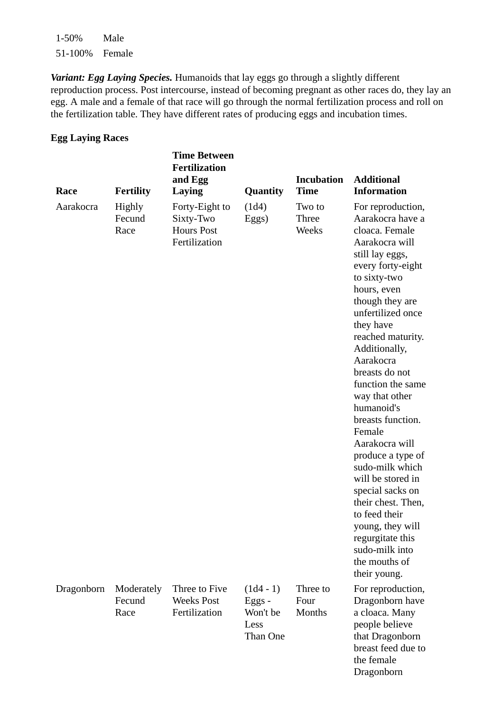1-50% Male 51-100% Female

*Variant: Egg Laying Species.* Humanoids that lay eggs go through a slightly different reproduction process. Post intercourse, instead of becoming pregnant as other races do, they lay an egg. A male and a female of that race will go through the normal fertilization process and roll on the fertilization table. They have different rates of producing eggs and incubation times.

#### **Egg Laying Races**

| Race       | <b>Fertility</b>             | <b>Time Between</b><br><b>Fertilization</b><br>and Egg<br>Laying  | <b>Quantity</b>                                         | <b>Incubation</b><br><b>Time</b> | <b>Additional</b><br><b>Information</b>                                                                                                                                                                                                                                                                                                                                                                                                                                                                                                                                                             |
|------------|------------------------------|-------------------------------------------------------------------|---------------------------------------------------------|----------------------------------|-----------------------------------------------------------------------------------------------------------------------------------------------------------------------------------------------------------------------------------------------------------------------------------------------------------------------------------------------------------------------------------------------------------------------------------------------------------------------------------------------------------------------------------------------------------------------------------------------------|
| Aarakocra  | Highly<br>Fecund<br>Race     | Forty-Eight to<br>Sixty-Two<br><b>Hours Post</b><br>Fertilization | (1d4)<br>Eggs)                                          | Two to<br>Three<br>Weeks         | For reproduction,<br>Aarakocra have a<br>cloaca. Female<br>Aarakocra will<br>still lay eggs,<br>every forty-eight<br>to sixty-two<br>hours, even<br>though they are<br>unfertilized once<br>they have<br>reached maturity.<br>Additionally,<br>Aarakocra<br>breasts do not<br>function the same<br>way that other<br>humanoid's<br>breasts function.<br>Female<br>Aarakocra will<br>produce a type of<br>sudo-milk which<br>will be stored in<br>special sacks on<br>their chest. Then,<br>to feed their<br>young, they will<br>regurgitate this<br>sudo-milk into<br>the mouths of<br>their young. |
| Dragonborn | Moderately<br>Fecund<br>Race | Three to Five<br><b>Weeks Post</b><br>Fertilization               | $(1d4 - 1)$<br>$Eggs -$<br>Won't be<br>Less<br>Than One | Three to<br>Four<br>Months       | For reproduction,<br>Dragonborn have<br>a cloaca. Many<br>people believe<br>that Dragonborn<br>breast feed due to<br>the female                                                                                                                                                                                                                                                                                                                                                                                                                                                                     |

Dragonborn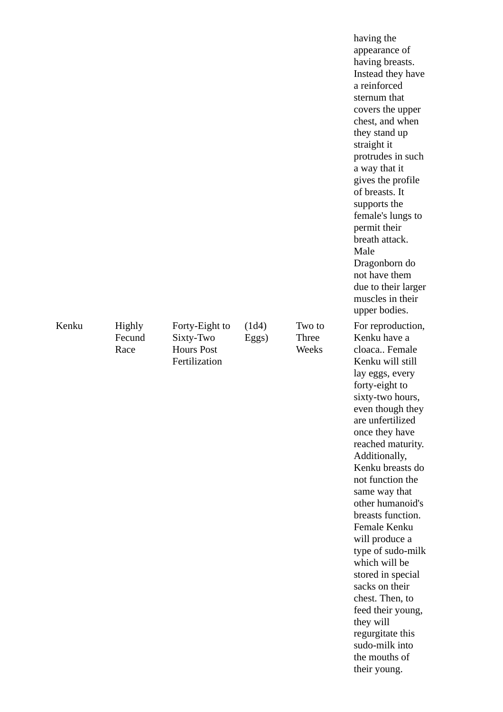|       |                          |                                                                   |                |                          | having the<br>appearance of<br>having breasts.<br>Instead they have<br>a reinforced<br>sternum that<br>covers the upper<br>chest, and when<br>they stand up<br>straight it<br>protrudes in such<br>a way that it<br>gives the profile<br>of breasts. It<br>supports the<br>female's lungs to<br>permit their<br>breath attack.<br>Male<br>Dragonborn do<br>not have them<br>due to their larger<br>muscles in their<br>upper bodies.                                                                                                                                         |
|-------|--------------------------|-------------------------------------------------------------------|----------------|--------------------------|------------------------------------------------------------------------------------------------------------------------------------------------------------------------------------------------------------------------------------------------------------------------------------------------------------------------------------------------------------------------------------------------------------------------------------------------------------------------------------------------------------------------------------------------------------------------------|
| Kenku | Highly<br>Fecund<br>Race | Forty-Eight to<br>Sixty-Two<br><b>Hours Post</b><br>Fertilization | (1d4)<br>Eggs) | Two to<br>Three<br>Weeks | For reproduction,<br>Kenku have a<br>cloaca Female<br>Kenku will still<br>lay eggs, every<br>forty-eight to<br>sixty-two hours,<br>even though they<br>are unfertilized<br>once they have<br>reached maturity.<br>Additionally,<br>Kenku breasts do<br>not function the<br>same way that<br>other humanoid's<br>breasts function.<br>Female Kenku<br>will produce a<br>type of sudo-milk<br>which will be<br>stored in special<br>sacks on their<br>chest. Then, to<br>feed their young,<br>they will<br>regurgitate this<br>sudo-milk into<br>the mouths of<br>their young. |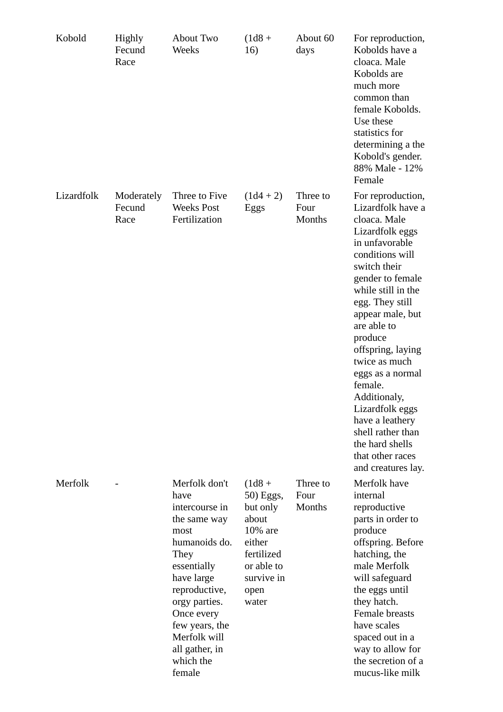| Kobold     | Highly<br>Fecund<br>Race     | About Two<br>Weeks                                                                                                                                                                                                                               | $(1d8 +$<br>16)                                                                                                            | About 60<br>days           | For reproduction,<br>Kobolds have a<br>cloaca. Male<br>Kobolds are<br>much more<br>common than<br>female Kobolds.<br>Use these<br>statistics for<br>determining a the<br>Kobold's gender.<br>88% Male - 12%<br>Female                                                                                                                                                                                                                                  |
|------------|------------------------------|--------------------------------------------------------------------------------------------------------------------------------------------------------------------------------------------------------------------------------------------------|----------------------------------------------------------------------------------------------------------------------------|----------------------------|--------------------------------------------------------------------------------------------------------------------------------------------------------------------------------------------------------------------------------------------------------------------------------------------------------------------------------------------------------------------------------------------------------------------------------------------------------|
| Lizardfolk | Moderately<br>Fecund<br>Race | Three to Five<br><b>Weeks Post</b><br>Fertilization                                                                                                                                                                                              | $(1d4 + 2)$<br>Eggs                                                                                                        | Three to<br>Four<br>Months | For reproduction,<br>Lizardfolk have a<br>cloaca. Male<br>Lizardfolk eggs<br>in unfavorable<br>conditions will<br>switch their<br>gender to female<br>while still in the<br>egg. They still<br>appear male, but<br>are able to<br>produce<br>offspring, laying<br>twice as much<br>eggs as a normal<br>female.<br>Additionaly,<br>Lizardfolk eggs<br>have a leathery<br>shell rather than<br>the hard shells<br>that other races<br>and creatures lay. |
| Merfolk    |                              | Merfolk don't<br>have<br>intercourse in<br>the same way<br>most<br>humanoids do.<br>They<br>essentially<br>have large<br>reproductive,<br>orgy parties.<br>Once every<br>few years, the<br>Merfolk will<br>all gather, in<br>which the<br>female | $(1d8 +$<br>50) Eggs,<br>but only<br>about<br>10% are<br>either<br>fertilized<br>or able to<br>survive in<br>open<br>water | Three to<br>Four<br>Months | Merfolk have<br>internal<br>reproductive<br>parts in order to<br>produce<br>offspring. Before<br>hatching, the<br>male Merfolk<br>will safeguard<br>the eggs until<br>they hatch.<br>Female breasts<br>have scales<br>spaced out in a<br>way to allow for<br>the secretion of a<br>mucus-like milk                                                                                                                                                     |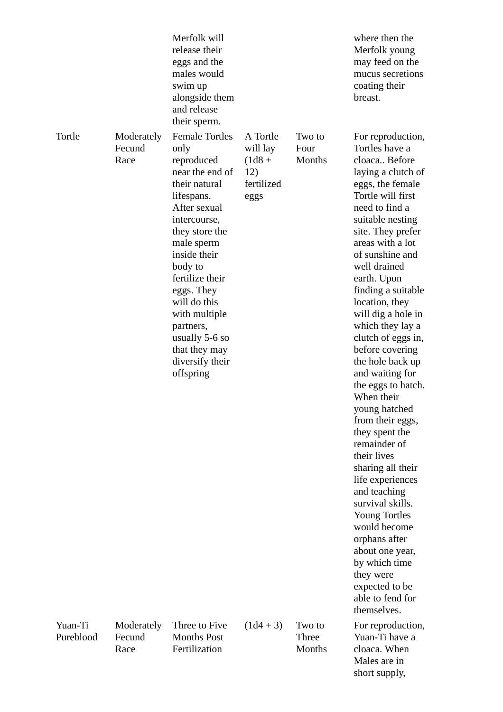|                      |                              | Merfolk will<br>release their<br>eggs and the<br>males would<br>swim up<br>alongside them<br>and release<br>their sperm.                                                                                                                                                                                                                   |                                                               |                           | where then the<br>Merfolk young<br>may feed on the<br>mucus secretions<br>coating their<br>breast.                                                                                                                                                                                                                                                                                                                                                                                                                                                                                                                                                                                                                                                                                           |
|----------------------|------------------------------|--------------------------------------------------------------------------------------------------------------------------------------------------------------------------------------------------------------------------------------------------------------------------------------------------------------------------------------------|---------------------------------------------------------------|---------------------------|----------------------------------------------------------------------------------------------------------------------------------------------------------------------------------------------------------------------------------------------------------------------------------------------------------------------------------------------------------------------------------------------------------------------------------------------------------------------------------------------------------------------------------------------------------------------------------------------------------------------------------------------------------------------------------------------------------------------------------------------------------------------------------------------|
| Tortle               | Moderately<br>Fecund<br>Race | <b>Female Tortles</b><br>only<br>reproduced<br>near the end of<br>their natural<br>lifespans.<br>After sexual<br>intercourse,<br>they store the<br>male sperm<br>inside their<br>body to<br>fertilize their<br>eggs. They<br>will do this<br>with multiple<br>partners,<br>usually 5-6 so<br>that they may<br>diversify their<br>offspring | A Tortle<br>will lay<br>$(1d8 +$<br>12)<br>fertilized<br>eggs | Two to<br>Four<br>Months  | For reproduction,<br>Tortles have a<br>cloaca Before<br>laying a clutch of<br>eggs, the female<br>Tortle will first<br>need to find a<br>suitable nesting<br>site. They prefer<br>areas with a lot<br>of sunshine and<br>well drained<br>earth. Upon<br>finding a suitable<br>location, they<br>will dig a hole in<br>which they lay a<br>clutch of eggs in,<br>before covering<br>the hole back up<br>and waiting for<br>the eggs to hatch.<br>When their<br>young hatched<br>from their eggs,<br>they spent the<br>remainder of<br>their lives<br>sharing all their<br>life experiences<br>and teaching<br>survival skills.<br><b>Young Tortles</b><br>would become<br>orphans after<br>about one year,<br>by which time<br>they were<br>expected to be<br>able to fend for<br>themselves. |
| Yuan-Ti<br>Pureblood | Moderately<br>Fecund<br>Race | Three to Five<br><b>Months Post</b><br>Fertilization                                                                                                                                                                                                                                                                                       | $(1d4 + 3)$                                                   | Two to<br>Three<br>Months | For reproduction,<br>Yuan-Ti have a<br>cloaca. When                                                                                                                                                                                                                                                                                                                                                                                                                                                                                                                                                                                                                                                                                                                                          |

Males are in short supply,